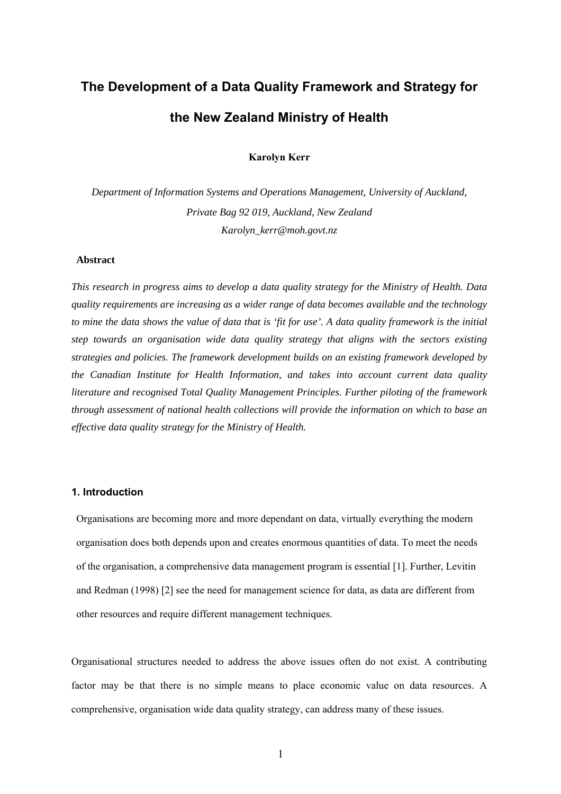# **The Development of a Data Quality Framework and Strategy for the New Zealand Ministry of Health**

**Karolyn Kerr**

*Department of Information Systems and Operations Management, University of Auckland, Private Bag 92 019, Auckland, New Zealand Karolyn\_kerr@moh.govt.nz*

#### **Abstract**

*This research in progress aims to develop a data quality strategy for the Ministry of Health. Data quality requirements are increasing as a wider range of data becomes available and the technology to mine the data shows the value of data that is 'fit for use'. A data quality framework is the initial step towards an organisation wide data quality strategy that aligns with the sectors existing strategies and policies. The framework development builds on an existing framework developed by the Canadian Institute for Health Information, and takes into account current data quality literature and recognised Total Quality Management Principles. Further piloting of the framework through assessment of national health collections will provide the information on which to base an effective data quality strategy for the Ministry of Health.* 

# **1. Introduction**

Organisations are becoming more and more dependant on data, virtually everything the modern organisation does both depends upon and creates enormous quantities of data. To meet the needs of the organisation, a comprehensive data management program is essential [1]. Further, Levitin and Redman (1998) [2] see the need for management science for data, as data are different from other resources and require different management techniques.

Organisational structures needed to address the above issues often do not exist. A contributing factor may be that there is no simple means to place economic value on data resources. A comprehensive, organisation wide data quality strategy, can address many of these issues.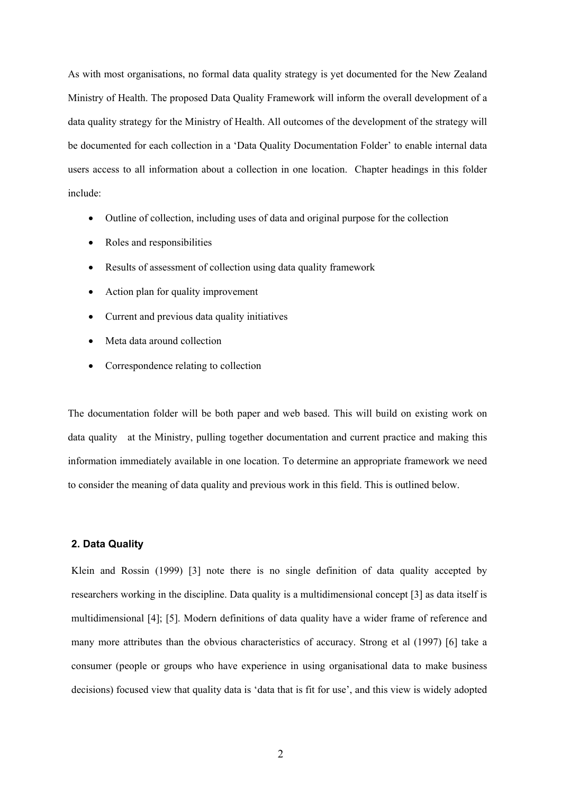As with most organisations, no formal data quality strategy is yet documented for the New Zealand Ministry of Health. The proposed Data Quality Framework will inform the overall development of a data quality strategy for the Ministry of Health. All outcomes of the development of the strategy will be documented for each collection in a 'Data Quality Documentation Folder' to enable internal data users access to all information about a collection in one location. Chapter headings in this folder include:

- Outline of collection, including uses of data and original purpose for the collection
- Roles and responsibilities
- Results of assessment of collection using data quality framework
- Action plan for quality improvement
- Current and previous data quality initiatives
- Meta data around collection
- Correspondence relating to collection

The documentation folder will be both paper and web based. This will build on existing work on data quality at the Ministry, pulling together documentation and current practice and making this information immediately available in one location. To determine an appropriate framework we need to consider the meaning of data quality and previous work in this field. This is outlined below.

### **2. Data Quality**

Klein and Rossin (1999) [3] note there is no single definition of data quality accepted by researchers working in the discipline. Data quality is a multidimensional concept [3] as data itself is multidimensional [4]; [5]. Modern definitions of data quality have a wider frame of reference and many more attributes than the obvious characteristics of accuracy. Strong et al (1997) [6] take a consumer (people or groups who have experience in using organisational data to make business decisions) focused view that quality data is 'data that is fit for use', and this view is widely adopted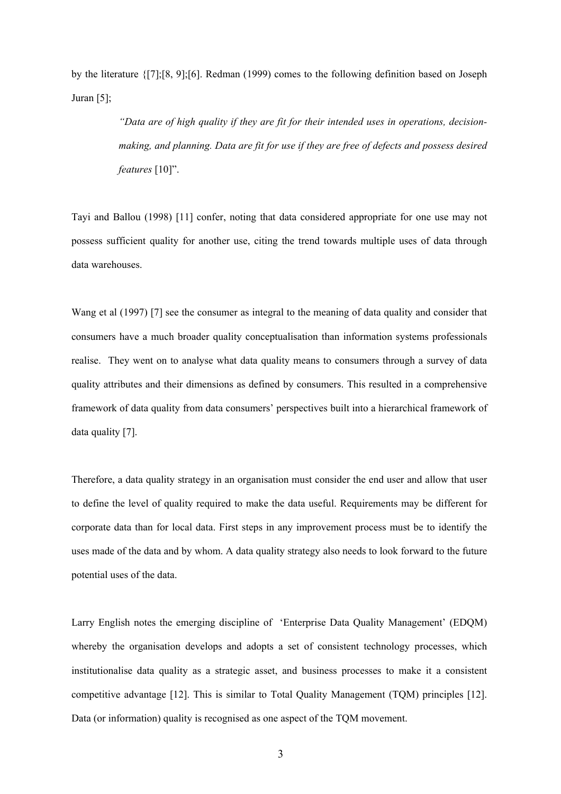by the literature {[7];[8, 9];[6]. Redman (1999) comes to the following definition based on Joseph Juran [5];

> *"Data are of high quality if they are fit for their intended uses in operations, decisionmaking, and planning. Data are fit for use if they are free of defects and possess desired features* [10]".

Tayi and Ballou (1998) [11] confer, noting that data considered appropriate for one use may not possess sufficient quality for another use, citing the trend towards multiple uses of data through data warehouses.

Wang et al (1997) [7] see the consumer as integral to the meaning of data quality and consider that consumers have a much broader quality conceptualisation than information systems professionals realise. They went on to analyse what data quality means to consumers through a survey of data quality attributes and their dimensions as defined by consumers. This resulted in a comprehensive framework of data quality from data consumers' perspectives built into a hierarchical framework of data quality [7].

Therefore, a data quality strategy in an organisation must consider the end user and allow that user to define the level of quality required to make the data useful. Requirements may be different for corporate data than for local data. First steps in any improvement process must be to identify the uses made of the data and by whom. A data quality strategy also needs to look forward to the future potential uses of the data.

Larry English notes the emerging discipline of 'Enterprise Data Quality Management' (EDQM) whereby the organisation develops and adopts a set of consistent technology processes, which institutionalise data quality as a strategic asset, and business processes to make it a consistent competitive advantage [12]. This is similar to Total Quality Management (TQM) principles [12]. Data (or information) quality is recognised as one aspect of the TQM movement.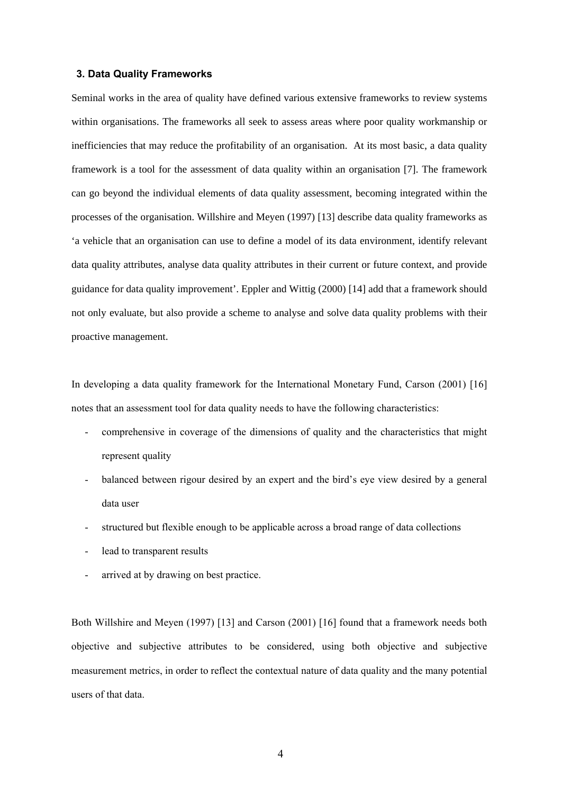#### **3. Data Quality Frameworks**

Seminal works in the area of quality have defined various extensive frameworks to review systems within organisations. The frameworks all seek to assess areas where poor quality workmanship or inefficiencies that may reduce the profitability of an organisation. At its most basic, a data quality framework is a tool for the assessment of data quality within an organisation [7]. The framework can go beyond the individual elements of data quality assessment, becoming integrated within the processes of the organisation. Willshire and Meyen (1997) [13] describe data quality frameworks as 'a vehicle that an organisation can use to define a model of its data environment, identify relevant data quality attributes, analyse data quality attributes in their current or future context, and provide guidance for data quality improvement'. Eppler and Wittig (2000) [14] add that a framework should not only evaluate, but also provide a scheme to analyse and solve data quality problems with their proactive management.

In developing a data quality framework for the International Monetary Fund, Carson (2001) [16] notes that an assessment tool for data quality needs to have the following characteristics:

- comprehensive in coverage of the dimensions of quality and the characteristics that might represent quality
- balanced between rigour desired by an expert and the bird's eye view desired by a general data user
- structured but flexible enough to be applicable across a broad range of data collections
- lead to transparent results
- arrived at by drawing on best practice.

Both Willshire and Meyen (1997) [13] and Carson (2001) [16] found that a framework needs both objective and subjective attributes to be considered, using both objective and subjective measurement metrics, in order to reflect the contextual nature of data quality and the many potential users of that data.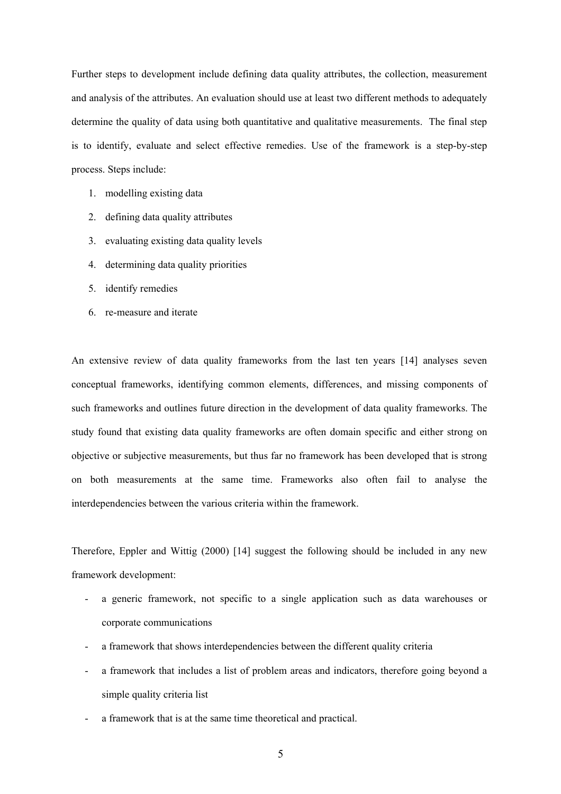Further steps to development include defining data quality attributes, the collection, measurement and analysis of the attributes. An evaluation should use at least two different methods to adequately determine the quality of data using both quantitative and qualitative measurements. The final step is to identify, evaluate and select effective remedies. Use of the framework is a step-by-step process. Steps include:

- 1. modelling existing data
- 2. defining data quality attributes
- 3. evaluating existing data quality levels
- 4. determining data quality priorities
- 5. identify remedies
- 6. re-measure and iterate

An extensive review of data quality frameworks from the last ten years [14] analyses seven conceptual frameworks, identifying common elements, differences, and missing components of such frameworks and outlines future direction in the development of data quality frameworks. The study found that existing data quality frameworks are often domain specific and either strong on objective or subjective measurements, but thus far no framework has been developed that is strong on both measurements at the same time. Frameworks also often fail to analyse the interdependencies between the various criteria within the framework.

Therefore, Eppler and Wittig (2000) [14] suggest the following should be included in any new framework development:

- a generic framework, not specific to a single application such as data warehouses or corporate communications
- a framework that shows interdependencies between the different quality criteria
- a framework that includes a list of problem areas and indicators, therefore going beyond a simple quality criteria list
- a framework that is at the same time theoretical and practical.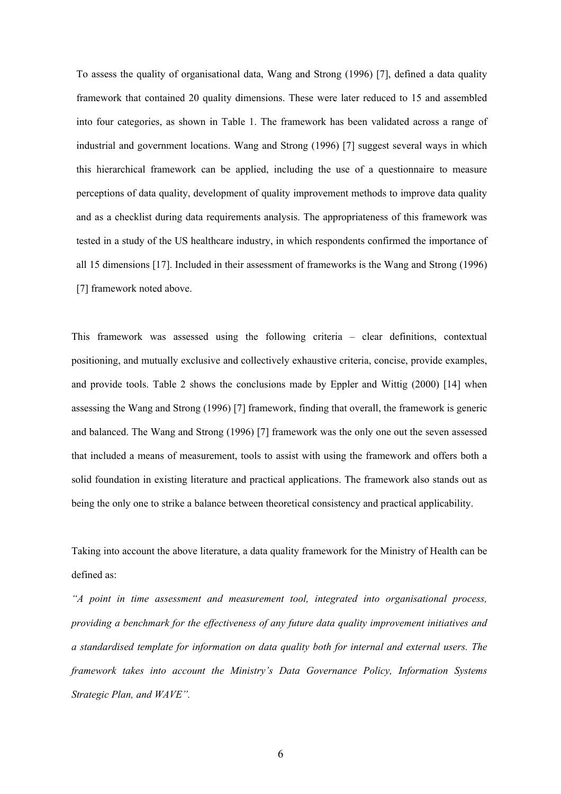To assess the quality of organisational data, Wang and Strong (1996) [7], defined a data quality framework that contained 20 quality dimensions. These were later reduced to 15 and assembled into four categories, as shown in [Table 1.](#page-12-0) The framework has been validated across a range of industrial and government locations. Wang and Strong (1996) [7] suggest several ways in which this hierarchical framework can be applied, including the use of a questionnaire to measure perceptions of data quality, development of quality improvement methods to improve data quality and as a checklist during data requirements analysis. The appropriateness of this framework was tested in a study of the US healthcare industry, in which respondents confirmed the importance of all 15 dimensions [17]. Included in their assessment of frameworks is the Wang and Strong (1996) [7] framework noted above.

This framework was assessed using the following criteria – clear definitions, contextual positioning, and mutually exclusive and collectively exhaustive criteria, concise, provide examples, and provide tools. Table 2 shows the conclusions made by Eppler and Wittig (2000) [14] when assessing the Wang and Strong (1996) [7] framework, finding that overall, the framework is generic and balanced. The Wang and Strong (1996) [7] framework was the only one out the seven assessed that included a means of measurement, tools to assist with using the framework and offers both a solid foundation in existing literature and practical applications. The framework also stands out as being the only one to strike a balance between theoretical consistency and practical applicability.

Taking into account the above literature, a data quality framework for the Ministry of Health can be defined as:

*"A point in time assessment and measurement tool, integrated into organisational process, providing a benchmark for the effectiveness of any future data quality improvement initiatives and a standardised template for information on data quality both for internal and external users. The framework takes into account the Ministry's Data Governance Policy, Information Systems Strategic Plan, and WAVE".*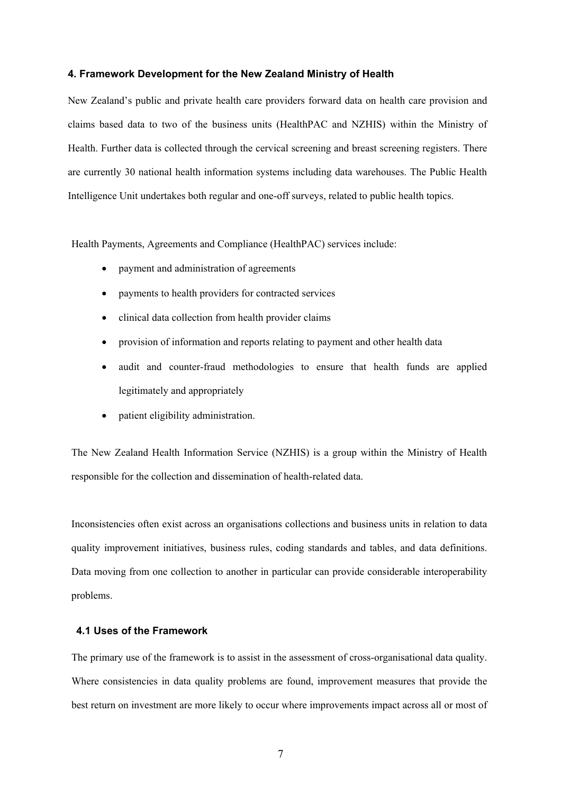#### **4. Framework Development for the New Zealand Ministry of Health**

New Zealand's public and private health care providers forward data on health care provision and claims based data to two of the business units (HealthPAC and NZHIS) within the Ministry of Health. Further data is collected through the cervical screening and breast screening registers. There are currently 30 national health information systems including data warehouses. The Public Health Intelligence Unit undertakes both regular and one-off surveys, related to public health topics.

Health Payments, Agreements and Compliance (HealthPAC) services include:

- payment and administration of agreements
- payments to health providers for contracted services
- clinical data collection from health provider claims
- provision of information and reports relating to payment and other health data
- audit and counter-fraud methodologies to ensure that health funds are applied legitimately and appropriately
- patient eligibility administration.

The New Zealand Health Information Service (NZHIS) is a group within the Ministry of Health responsible for the collection and dissemination of health-related data.

Inconsistencies often exist across an organisations collections and business units in relation to data quality improvement initiatives, business rules, coding standards and tables, and data definitions. Data moving from one collection to another in particular can provide considerable interoperability problems.

#### **4.1 Uses of the Framework**

The primary use of the framework is to assist in the assessment of cross-organisational data quality. Where consistencies in data quality problems are found, improvement measures that provide the best return on investment are more likely to occur where improvements impact across all or most of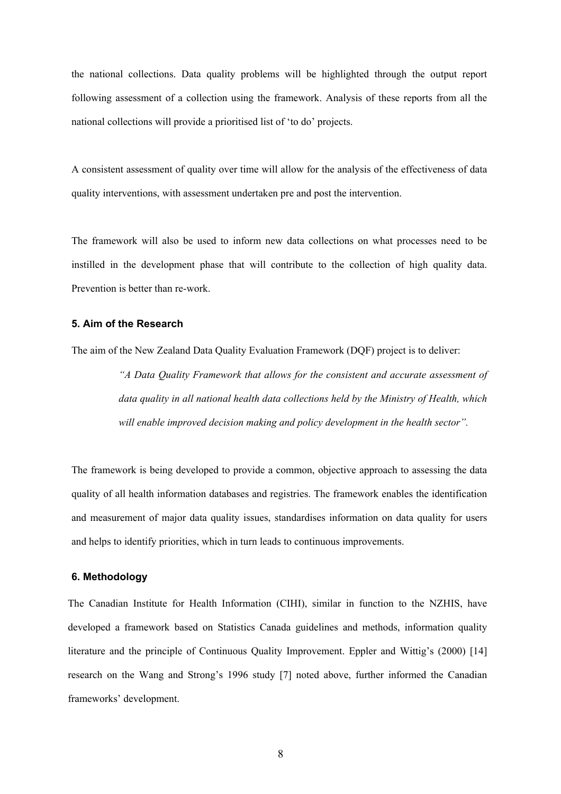the national collections. Data quality problems will be highlighted through the output report following assessment of a collection using the framework. Analysis of these reports from all the national collections will provide a prioritised list of 'to do' projects.

A consistent assessment of quality over time will allow for the analysis of the effectiveness of data quality interventions, with assessment undertaken pre and post the intervention.

The framework will also be used to inform new data collections on what processes need to be instilled in the development phase that will contribute to the collection of high quality data. Prevention is better than re-work.

### **5. Aim of the Research**

The aim of the New Zealand Data Quality Evaluation Framework (DQF) project is to deliver:

*"A Data Quality Framework that allows for the consistent and accurate assessment of data quality in all national health data collections held by the Ministry of Health, which*  will enable improved decision making and policy development in the health sector".

The framework is being developed to provide a common, objective approach to assessing the data quality of all health information databases and registries. The framework enables the identification and measurement of major data quality issues, standardises information on data quality for users and helps to identify priorities, which in turn leads to continuous improvements.

## **6. Methodology**

The Canadian Institute for Health Information (CIHI), similar in function to the NZHIS, have developed a framework based on Statistics Canada guidelines and methods, information quality literature and the principle of Continuous Quality Improvement. Eppler and Wittig's (2000) [14] research on the Wang and Strong's 1996 study [7] noted above, further informed the Canadian frameworks' development.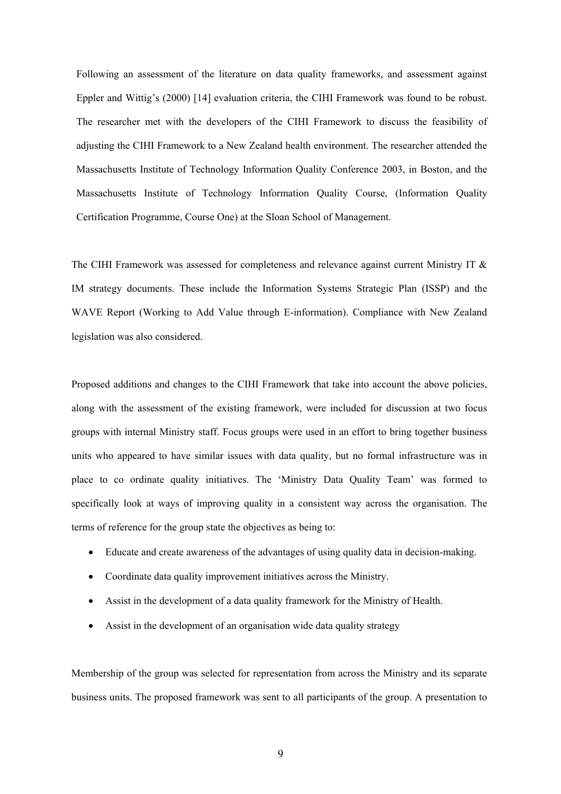Following an assessment of the literature on data quality frameworks, and assessment against Eppler and Wittig's (2000) [14] evaluation criteria, the CIHI Framework was found to be robust. The researcher met with the developers of the CIHI Framework to discuss the feasibility of adjusting the CIHI Framework to a New Zealand health environment. The researcher attended the Massachusetts Institute of Technology Information Quality Conference 2003, in Boston, and the Massachusetts Institute of Technology Information Quality Course, (Information Quality Certification Programme, Course One) at the Sloan School of Management.

The CIHI Framework was assessed for completeness and relevance against current Ministry IT & IM strategy documents. These include the Information Systems Strategic Plan (ISSP) and the WAVE Report (Working to Add Value through E-information). Compliance with New Zealand legislation was also considered.

Proposed additions and changes to the CIHI Framework that take into account the above policies, along with the assessment of the existing framework, were included for discussion at two focus groups with internal Ministry staff. Focus groups were used in an effort to bring together business units who appeared to have similar issues with data quality, but no formal infrastructure was in place to co ordinate quality initiatives. The 'Ministry Data Quality Team' was formed to specifically look at ways of improving quality in a consistent way across the organisation. The terms of reference for the group state the objectives as being to:

- Educate and create awareness of the advantages of using quality data in decision-making.
- Coordinate data quality improvement initiatives across the Ministry.
- Assist in the development of a data quality framework for the Ministry of Health.
- Assist in the development of an organisation wide data quality strategy

Membership of the group was selected for representation from across the Ministry and its separate business units. The proposed framework was sent to all participants of the group. A presentation to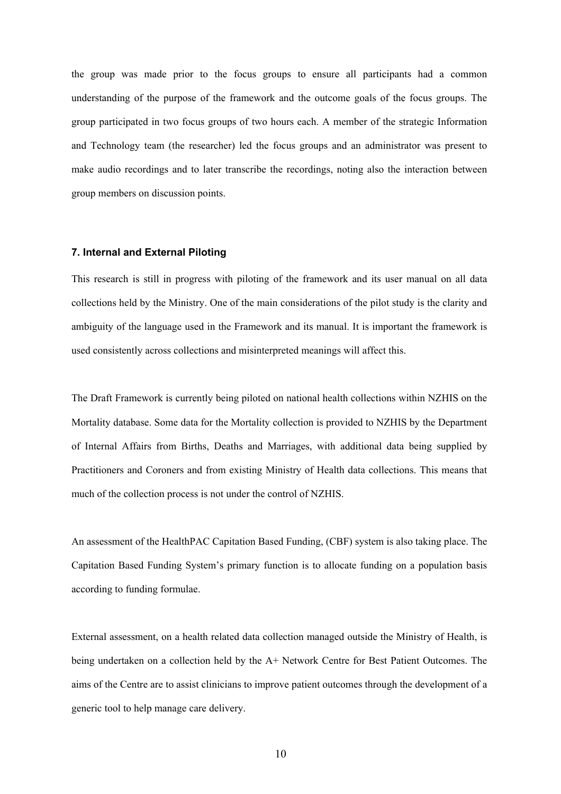the group was made prior to the focus groups to ensure all participants had a common understanding of the purpose of the framework and the outcome goals of the focus groups. The group participated in two focus groups of two hours each. A member of the strategic Information and Technology team (the researcher) led the focus groups and an administrator was present to make audio recordings and to later transcribe the recordings, noting also the interaction between group members on discussion points.

#### **7. Internal and External Piloting**

This research is still in progress with piloting of the framework and its user manual on all data collections held by the Ministry. One of the main considerations of the pilot study is the clarity and ambiguity of the language used in the Framework and its manual. It is important the framework is used consistently across collections and misinterpreted meanings will affect this.

The Draft Framework is currently being piloted on national health collections within NZHIS on the Mortality database. Some data for the Mortality collection is provided to NZHIS by the Department of Internal Affairs from Births, Deaths and Marriages, with additional data being supplied by Practitioners and Coroners and from existing Ministry of Health data collections. This means that much of the collection process is not under the control of NZHIS.

An assessment of the HealthPAC Capitation Based Funding, (CBF) system is also taking place. The Capitation Based Funding System's primary function is to allocate funding on a population basis according to funding formulae.

External assessment, on a health related data collection managed outside the Ministry of Health, is being undertaken on a collection held by the A+ Network Centre for Best Patient Outcomes. The aims of the Centre are to assist clinicians to improve patient outcomes through the development of a generic tool to help manage care delivery.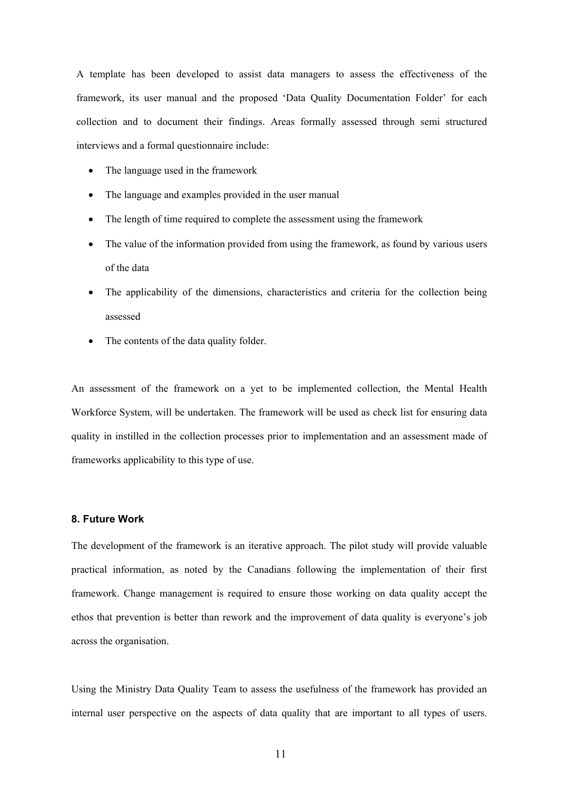A template has been developed to assist data managers to assess the effectiveness of the framework, its user manual and the proposed 'Data Quality Documentation Folder' for each collection and to document their findings. Areas formally assessed through semi structured interviews and a formal questionnaire include:

- The language used in the framework
- The language and examples provided in the user manual
- The length of time required to complete the assessment using the framework
- The value of the information provided from using the framework, as found by various users of the data
- The applicability of the dimensions, characteristics and criteria for the collection being assessed
- The contents of the data quality folder.

An assessment of the framework on a yet to be implemented collection, the Mental Health Workforce System, will be undertaken. The framework will be used as check list for ensuring data quality in instilled in the collection processes prior to implementation and an assessment made of frameworks applicability to this type of use.

#### **8. Future Work**

The development of the framework is an iterative approach. The pilot study will provide valuable practical information, as noted by the Canadians following the implementation of their first framework. Change management is required to ensure those working on data quality accept the ethos that prevention is better than rework and the improvement of data quality is everyone's job across the organisation.

Using the Ministry Data Quality Team to assess the usefulness of the framework has provided an internal user perspective on the aspects of data quality that are important to all types of users.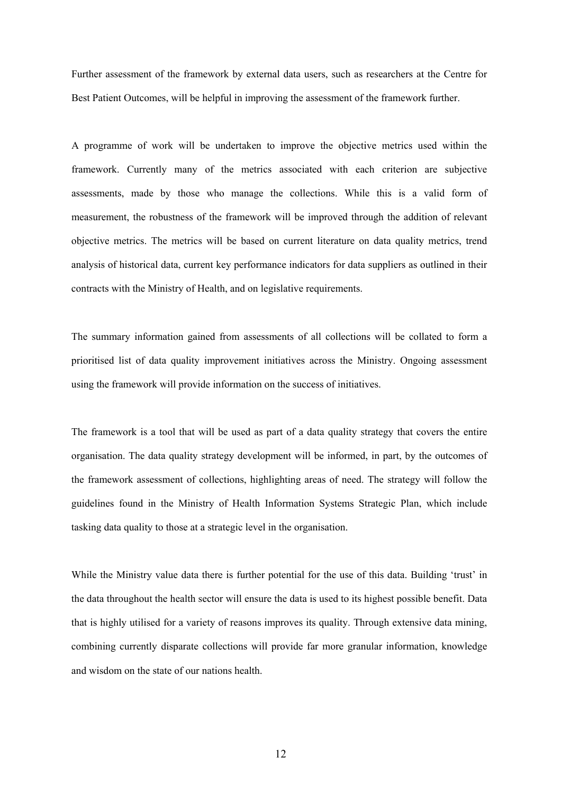Further assessment of the framework by external data users, such as researchers at the Centre for Best Patient Outcomes, will be helpful in improving the assessment of the framework further.

A programme of work will be undertaken to improve the objective metrics used within the framework. Currently many of the metrics associated with each criterion are subjective assessments, made by those who manage the collections. While this is a valid form of measurement, the robustness of the framework will be improved through the addition of relevant objective metrics. The metrics will be based on current literature on data quality metrics, trend analysis of historical data, current key performance indicators for data suppliers as outlined in their contracts with the Ministry of Health, and on legislative requirements.

The summary information gained from assessments of all collections will be collated to form a prioritised list of data quality improvement initiatives across the Ministry. Ongoing assessment using the framework will provide information on the success of initiatives.

The framework is a tool that will be used as part of a data quality strategy that covers the entire organisation. The data quality strategy development will be informed, in part, by the outcomes of the framework assessment of collections, highlighting areas of need. The strategy will follow the guidelines found in the Ministry of Health Information Systems Strategic Plan, which include tasking data quality to those at a strategic level in the organisation.

While the Ministry value data there is further potential for the use of this data. Building 'trust' in the data throughout the health sector will ensure the data is used to its highest possible benefit. Data that is highly utilised for a variety of reasons improves its quality. Through extensive data mining, combining currently disparate collections will provide far more granular information, knowledge and wisdom on the state of our nations health.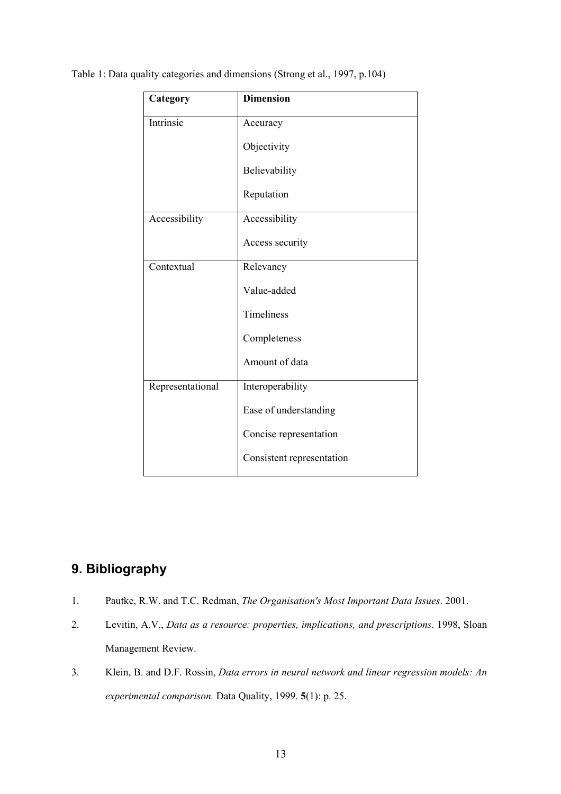| Category         | <b>Dimension</b>          |
|------------------|---------------------------|
| Intrinsic        | Accuracy                  |
|                  | Objectivity               |
|                  | Believability             |
|                  | Reputation                |
| Accessibility    | Accessibility             |
|                  | Access security           |
| Contextual       | Relevancy                 |
|                  | Value-added               |
|                  | Timeliness                |
|                  | Completeness              |
|                  | Amount of data            |
| Representational | Interoperability          |
|                  | Ease of understanding     |
|                  | Concise representation    |
|                  | Consistent representation |

<span id="page-12-0"></span>Table 1: Data quality categories and dimensions (Strong et al., 1997, p.104)

# **9. Bibliography**

- 1. Pautke, R.W. and T.C. Redman, *The Organisation's Most Important Data Issues*. 2001.
- 2. Levitin, A.V., *Data as a resource: properties, implications, and prescriptions*. 1998, Sloan Management Review.
- 3. Klein, B. and D.F. Rossin, *Data errors in neural network and linear regression models: An experimental comparison.* Data Quality, 1999. **5**(1): p. 25.